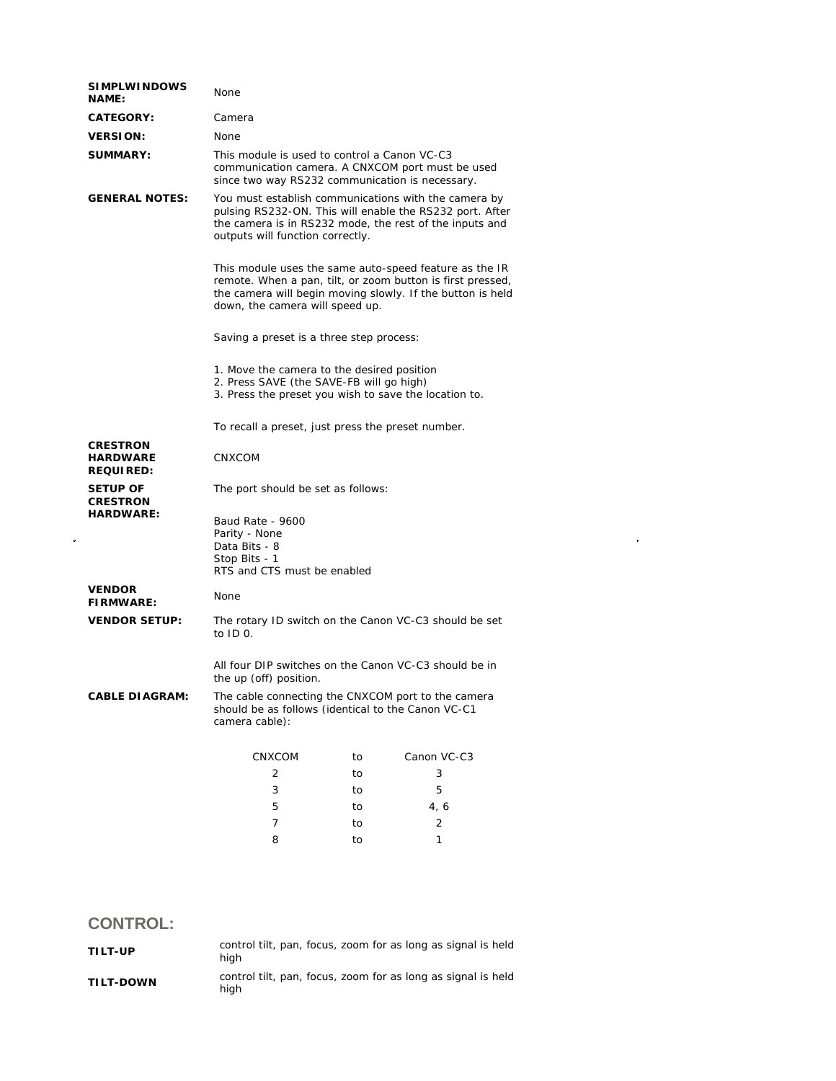| <b>SIMPLWINDOWS</b><br><b>NAME:</b>                    | None                                                                                                                                                                                                                  |    |                                                                                                                                                                             |  |
|--------------------------------------------------------|-----------------------------------------------------------------------------------------------------------------------------------------------------------------------------------------------------------------------|----|-----------------------------------------------------------------------------------------------------------------------------------------------------------------------------|--|
| <b>CATEGORY:</b>                                       | Camera                                                                                                                                                                                                                |    |                                                                                                                                                                             |  |
| <b>VERSION:</b>                                        | None                                                                                                                                                                                                                  |    |                                                                                                                                                                             |  |
| <b>SUMMARY:</b>                                        | This module is used to control a Canon VC-C3<br>since two way RS232 communication is necessary.                                                                                                                       |    | communication camera. A CNXCOM port must be used                                                                                                                            |  |
| <b>GENERAL NOTES:</b>                                  | outputs will function correctly.                                                                                                                                                                                      |    | You must establish communications with the camera by<br>pulsing RS232-ON. This will enable the RS232 port. After<br>the camera is in RS232 mode, the rest of the inputs and |  |
|                                                        | This module uses the same auto-speed feature as the IR<br>remote. When a pan, tilt, or zoom button is first pressed,<br>the camera will begin moving slowly. If the button is held<br>down, the camera will speed up. |    |                                                                                                                                                                             |  |
|                                                        | Saving a preset is a three step process:                                                                                                                                                                              |    |                                                                                                                                                                             |  |
|                                                        | 1. Move the camera to the desired position<br>2. Press SAVE (the SAVE-FB will go high)<br>3. Press the preset you wish to save the location to.                                                                       |    |                                                                                                                                                                             |  |
|                                                        | To recall a preset, just press the preset number.                                                                                                                                                                     |    |                                                                                                                                                                             |  |
| <b>CRESTRON</b><br><b>HARDWARE</b><br><b>REQUIRED:</b> | CNXCOM                                                                                                                                                                                                                |    |                                                                                                                                                                             |  |
| <b>SETUP OF</b><br><b>CRESTRON</b><br><b>HARDWARE:</b> | The port should be set as follows:                                                                                                                                                                                    |    |                                                                                                                                                                             |  |
|                                                        | Baud Rate - 9600<br>Parity - None<br>Data Bits - 8<br>Stop Bits - 1<br>RTS and CTS must be enabled                                                                                                                    |    |                                                                                                                                                                             |  |
| <b>VENDOR</b><br><b>FIRMWARE:</b>                      | <b>None</b>                                                                                                                                                                                                           |    |                                                                                                                                                                             |  |
| <b>VENDOR SETUP:</b>                                   | to $ID$ $O$ .                                                                                                                                                                                                         |    | The rotary ID switch on the Canon VC-C3 should be set                                                                                                                       |  |
|                                                        | All four DIP switches on the Canon VC-C3 should be in<br>the up (off) position.                                                                                                                                       |    |                                                                                                                                                                             |  |
| <b>CABLE DIAGRAM:</b>                                  | should be as follows (identical to the Canon VC-C1<br>camera cable):                                                                                                                                                  |    | The cable connecting the CNXCOM port to the camera                                                                                                                          |  |
|                                                        | <b>CNXCOM</b>                                                                                                                                                                                                         | to | Canon VC-C3                                                                                                                                                                 |  |
|                                                        | 2                                                                                                                                                                                                                     | to | 3                                                                                                                                                                           |  |
|                                                        | 3                                                                                                                                                                                                                     | to | 5                                                                                                                                                                           |  |
|                                                        | 5                                                                                                                                                                                                                     | to | 4, 6                                                                                                                                                                        |  |
|                                                        | 7                                                                                                                                                                                                                     | to | $\overline{2}$                                                                                                                                                              |  |
|                                                        | 8                                                                                                                                                                                                                     | to | 1                                                                                                                                                                           |  |

## **CONTROL:**

| TILT-UP          | hiah | control tilt, pan, focus, zoom for as long as signal is held |
|------------------|------|--------------------------------------------------------------|
| <b>TILT-DOWN</b> | hiah | control tilt, pan, focus, zoom for as long as signal is held |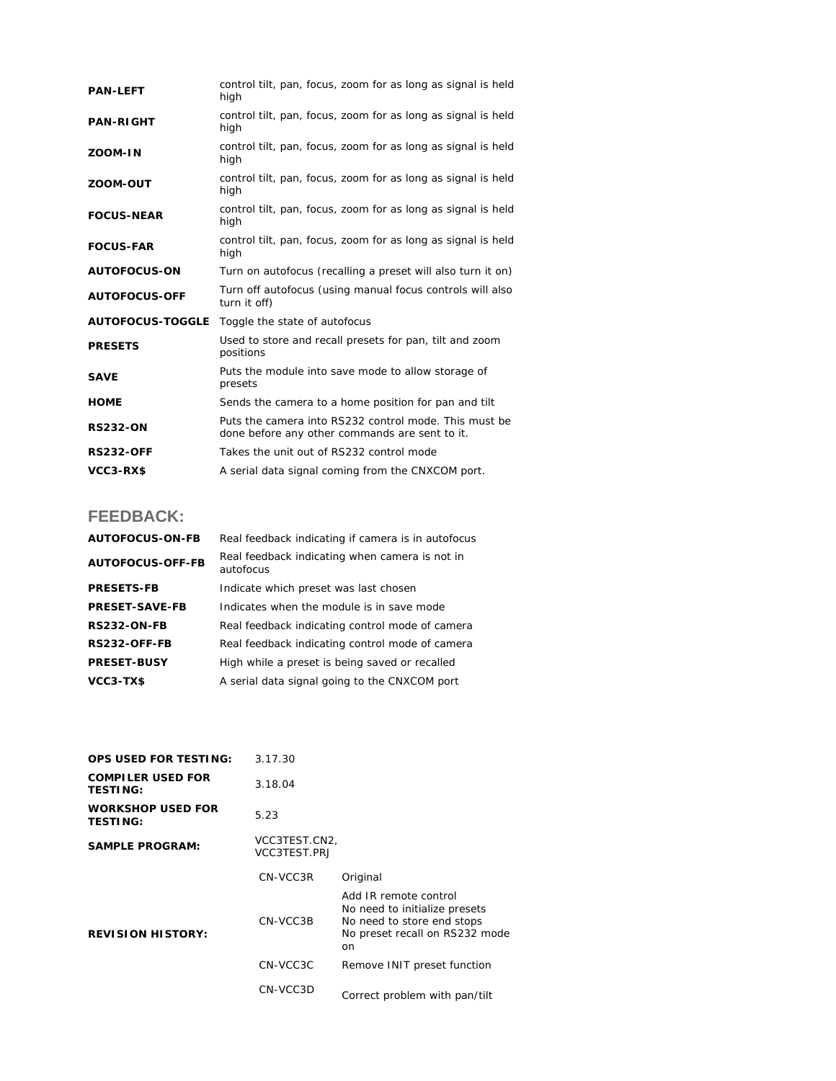| <b>PAN-LEFT</b>         | control tilt, pan, focus, zoom for as long as signal is held<br>high                                    |  |  |
|-------------------------|---------------------------------------------------------------------------------------------------------|--|--|
| <b>PAN-RIGHT</b>        | control tilt, pan, focus, zoom for as long as signal is held<br>high                                    |  |  |
| ZOOM-IN                 | control tilt, pan, focus, zoom for as long as signal is held<br>high                                    |  |  |
| ZOOM-OUT                | control tilt, pan, focus, zoom for as long as signal is held<br>high                                    |  |  |
| <b>FOCUS-NEAR</b>       | control tilt, pan, focus, zoom for as long as signal is held<br>high                                    |  |  |
| <b>FOCUS-FAR</b>        | control tilt, pan, focus, zoom for as long as signal is held<br>high                                    |  |  |
| <b>AUTOFOCUS-ON</b>     | Turn on autofocus (recalling a preset will also turn it on)                                             |  |  |
| <b>AUTOFOCUS-OFF</b>    | Turn off autofocus (using manual focus controls will also<br>turn it off)                               |  |  |
| <b>AUTOFOCUS-TOGGLE</b> | Toggle the state of autofocus                                                                           |  |  |
| <b>PRESETS</b>          | Used to store and recall presets for pan, tilt and zoom<br>positions                                    |  |  |
| <b>SAVE</b>             | Puts the module into save mode to allow storage of<br>presets                                           |  |  |
| <b>HOME</b>             | Sends the camera to a home position for pan and tilt                                                    |  |  |
| <b>RS232-ON</b>         | Puts the camera into RS232 control mode. This must be<br>done before any other commands are sent to it. |  |  |
| <b>RS232-OFF</b>        | Takes the unit out of RS232 control mode                                                                |  |  |
| VCC3-RX\$               | A serial data signal coming from the CNXCOM port.                                                       |  |  |

## **FEEDBACK:**

| <b>AUTOFOCUS-ON-FB</b>  | Real feedback indicating if camera is in autofocus          |
|-------------------------|-------------------------------------------------------------|
| <b>AUTOFOCUS-OFF-FB</b> | Real feedback indicating when camera is not in<br>autofocus |
| <b>PRESETS-FB</b>       | Indicate which preset was last chosen                       |
| <b>PRESET-SAVE-FB</b>   | Indicates when the module is in save mode                   |
| <b>RS232-ON-FB</b>      | Real feedback indicating control mode of camera             |
| RS232-OFF-FB            | Real feedback indicating control mode of camera             |
| <b>PRESET-BUSY</b>      | High while a preset is being saved or recalled              |
| VCC3-TX\$               | A serial data signal going to the CNXCOM port               |

| <b>OPS USED FOR TESTING:</b>                | 3.17.30                       |                                                                                                                              |
|---------------------------------------------|-------------------------------|------------------------------------------------------------------------------------------------------------------------------|
| <b>COMPILER USED FOR</b><br><b>TESTING:</b> | 3.18.04                       |                                                                                                                              |
| <b>WORKSHOP USED FOR</b><br><b>TESTING:</b> | 5.23                          |                                                                                                                              |
| <b>SAMPLE PROGRAM:</b>                      | VCC3TEST.CN2,<br>VCC3TEST.PRJ |                                                                                                                              |
| <b>REVISION HISTORY:</b>                    | CN-VCC3R                      | Original                                                                                                                     |
|                                             | CN-VCC3B                      | Add IR remote control<br>No need to initialize presets<br>No need to store end stops<br>No preset recall on RS232 mode<br>on |
|                                             | CN-VCC3C                      | Remove INIT preset function                                                                                                  |
|                                             | CN-VCC3D                      | Correct problem with pan/tilt                                                                                                |